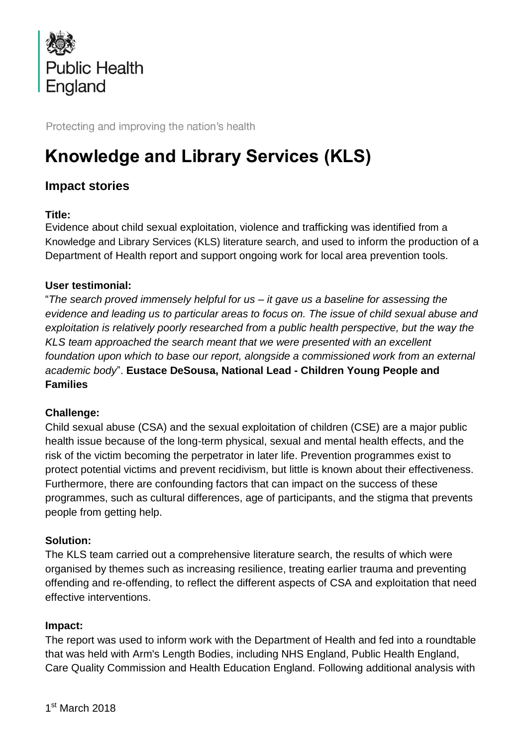

Protecting and improving the nation's health

# **Knowledge and Library Services (KLS)**

# **Impact stories**

## **Title:**

Evidence about child sexual exploitation, violence and trafficking was identified from a Knowledge and Library Services (KLS) literature search, and used to inform the production of a Department of Health report and support ongoing work for local area prevention tools.

## **User testimonial:**

"*The search proved immensely helpful for us – it gave us a baseline for assessing the evidence and leading us to particular areas to focus on. The issue of child sexual abuse and exploitation is relatively poorly researched from a public health perspective, but the way the KLS team approached the search meant that we were presented with an excellent foundation upon which to base our report, alongside a commissioned work from an external academic body*". **Eustace DeSousa, National Lead - Children Young People and Families**

#### **Challenge:**

Child sexual abuse (CSA) and the sexual exploitation of children (CSE) are a major public health issue because of the long-term physical, sexual and mental health effects, and the risk of the victim becoming the perpetrator in later life. Prevention programmes exist to protect potential victims and prevent recidivism, but little is known about their effectiveness. Furthermore, there are confounding factors that can impact on the success of these programmes, such as cultural differences, age of participants, and the stigma that prevents people from getting help.

#### **Solution:**

The KLS team carried out a comprehensive literature search, the results of which were organised by themes such as increasing resilience, treating earlier trauma and preventing offending and re-offending, to reflect the different aspects of CSA and exploitation that need effective interventions.

#### **Impact:**

The report was used to inform work with the Department of Health and fed into a roundtable that was held with Arm's Length Bodies, including NHS England, Public Health England, Care Quality Commission and Health Education England. Following additional analysis with